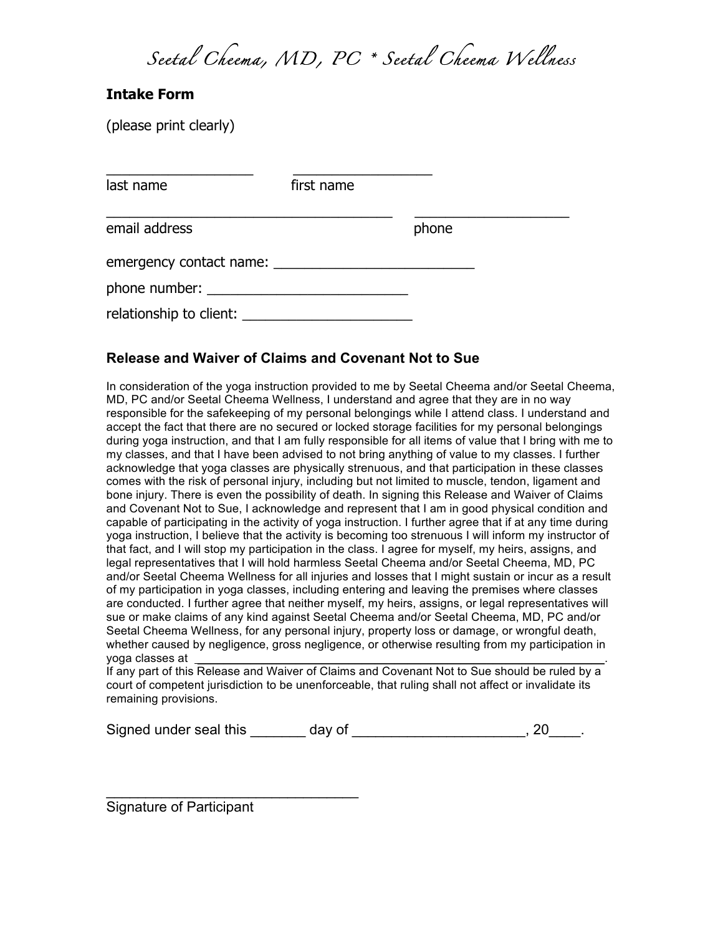*Seetal Cheema, MD, PC \* Seetal Cheema Wellness*

## **Intake Form**

(please print clearly)

| last name                 | first name |       |
|---------------------------|------------|-------|
| email address             |            | phone |
| emergency contact name:   |            |       |
|                           |            |       |
| relationship to client: _ |            |       |

## **Release and Waiver of Claims and Covenant Not to Sue**

In consideration of the yoga instruction provided to me by Seetal Cheema and/or Seetal Cheema, MD, PC and/or Seetal Cheema Wellness, I understand and agree that they are in no way responsible for the safekeeping of my personal belongings while I attend class. I understand and accept the fact that there are no secured or locked storage facilities for my personal belongings during yoga instruction, and that I am fully responsible for all items of value that I bring with me to my classes, and that I have been advised to not bring anything of value to my classes. I further acknowledge that yoga classes are physically strenuous, and that participation in these classes comes with the risk of personal injury, including but not limited to muscle, tendon, ligament and bone injury. There is even the possibility of death. In signing this Release and Waiver of Claims and Covenant Not to Sue, I acknowledge and represent that I am in good physical condition and capable of participating in the activity of yoga instruction. I further agree that if at any time during yoga instruction, I believe that the activity is becoming too strenuous I will inform my instructor of that fact, and I will stop my participation in the class. I agree for myself, my heirs, assigns, and legal representatives that I will hold harmless Seetal Cheema and/or Seetal Cheema, MD, PC and/or Seetal Cheema Wellness for all injuries and losses that I might sustain or incur as a result of my participation in yoga classes, including entering and leaving the premises where classes are conducted. I further agree that neither myself, my heirs, assigns, or legal representatives will sue or make claims of any kind against Seetal Cheema and/or Seetal Cheema, MD, PC and/or Seetal Cheema Wellness, for any personal injury, property loss or damage, or wrongful death, whether caused by negligence, gross negligence, or otherwise resulting from my participation in yoga classes at

If any part of this Release and Waiver of Claims and Covenant Not to Sue should be ruled by a court of competent jurisdiction to be unenforceable, that ruling shall not affect or invalidate its remaining provisions.

| Signed under seal this | day of |  |
|------------------------|--------|--|
|                        |        |  |

Signature of Participant

 $\overline{\phantom{a}}$  , which is a set of the set of the set of the set of the set of the set of the set of the set of the set of the set of the set of the set of the set of the set of the set of the set of the set of the set of th